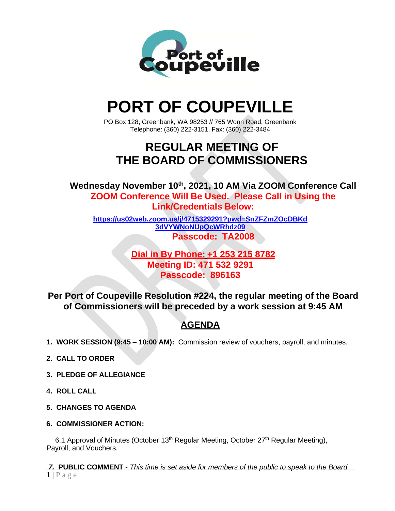

# **PORT OF COUPEVILLE**

PO Box 128, Greenbank, WA 98253 // 765 Wonn Road, Greenbank Telephone: (360) 222-3151, Fax: (360) 222-3484

## **REGULAR MEETING OF THE BOARD OF COMMISSIONERS**

**Wednesday November 10 th , 2021, 10 AM Via ZOOM Conference Call ZOOM Conference Will Be Used. Please Call in Using the Link/Credentials Below:**

**[https://us02web.zoom.us/j/4715329291?pwd=SnZFZmZOcDBKd](https://us02web.zoom.us/j/4715329291?pwd=SnZFZmZOcDBKd3dVYWNoNUpQcWRhdz09) [3dVYWNoNUpQcWRhdz09](https://us02web.zoom.us/j/4715329291?pwd=SnZFZmZOcDBKd3dVYWNoNUpQcWRhdz09) Passcode: TA2008**

> **Dial in By Phone: +1 253 215 8782 Meeting ID: 471 532 9291 Passcode: 896163**

**Per Port of Coupeville Resolution #224, the regular meeting of the Board of Commissioners will be preceded by a work session at 9:45 AM**

### **AGENDA**

- **1. WORK SESSION (9:45 – 10:00 AM):** Commission review of vouchers, payroll, and minutes.
- **2. CALL TO ORDER**
- **3. PLEDGE OF ALLEGIANCE**
- **4. ROLL CALL**
- **5. CHANGES TO AGENDA**
- **6. COMMISSIONER ACTION:**

6.1 Approval of Minutes (October 13<sup>th</sup> Regular Meeting, October 27<sup>th</sup> Regular Meeting), Payroll, and Vouchers.

 $1$  | P a g e *7.* **PUBLIC COMMENT -** *This time is set aside for members of the public to speak to the Board*